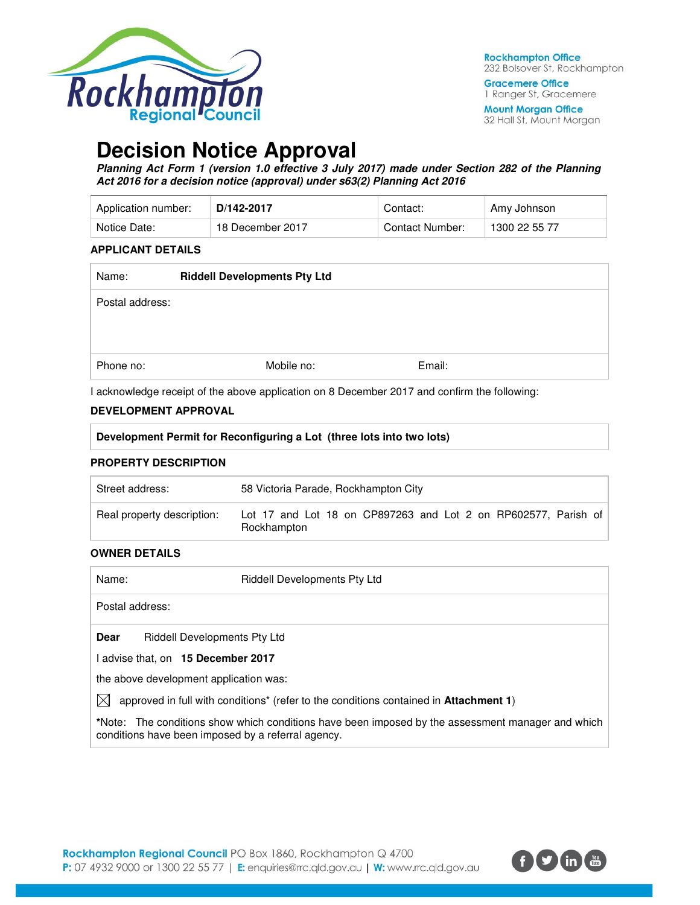

**Gracemere Office** 1 Ranger St, Gracemere

**Mount Morgan Office** 32 Hall St, Mount Morgan

# **Decision Notice Approval**

**Planning Act Form 1 (version 1.0 effective 3 July 2017) made under Section 282 of the Planning Act 2016 for a decision notice (approval) under s63(2) Planning Act 2016** 

| Application number: | D/142-2017       | Contact:        | Amy Johnson   |
|---------------------|------------------|-----------------|---------------|
| Notice Date:        | 18 December 2017 | Contact Number: | 1300 22 55 77 |

#### **APPLICANT DETAILS**

| Name:           | <b>Riddell Developments Pty Ltd</b> |        |  |
|-----------------|-------------------------------------|--------|--|
| Postal address: |                                     |        |  |
|                 |                                     |        |  |
|                 |                                     |        |  |
| Phone no:       | Mobile no:                          | Email: |  |

I acknowledge receipt of the above application on 8 December 2017 and confirm the following:

#### **DEVELOPMENT APPROVAL**

| Development Permit for Reconfiguring a Lot (three lots into two lots) |                                                                               |  |  |
|-----------------------------------------------------------------------|-------------------------------------------------------------------------------|--|--|
| <b>PROPERTY DESCRIPTION</b>                                           |                                                                               |  |  |
| Street address:                                                       | 58 Victoria Parade, Rockhampton City                                          |  |  |
| Real property description:                                            | Lot 17 and Lot 18 on CP897263 and Lot 2 on RP602577. Parish of<br>Rockhampton |  |  |
| <b>OWNER DETAILS</b>                                                  |                                                                               |  |  |

| Name:       | <b>Riddell Developments Pty Ltd</b>                                                                                                                     |
|-------------|---------------------------------------------------------------------------------------------------------------------------------------------------------|
|             | Postal address:                                                                                                                                         |
| <b>Dear</b> | <b>Riddell Developments Pty Ltd</b>                                                                                                                     |
|             | advise that, on 15 December 2017                                                                                                                        |
|             | the above development application was:                                                                                                                  |
| IХI         | approved in full with conditions <sup>*</sup> (refer to the conditions contained in <b>Attachment 1)</b>                                                |
|             | *Note: The conditions show which conditions have been imposed by the assessment manager and which<br>conditions have been imposed by a referral agency. |

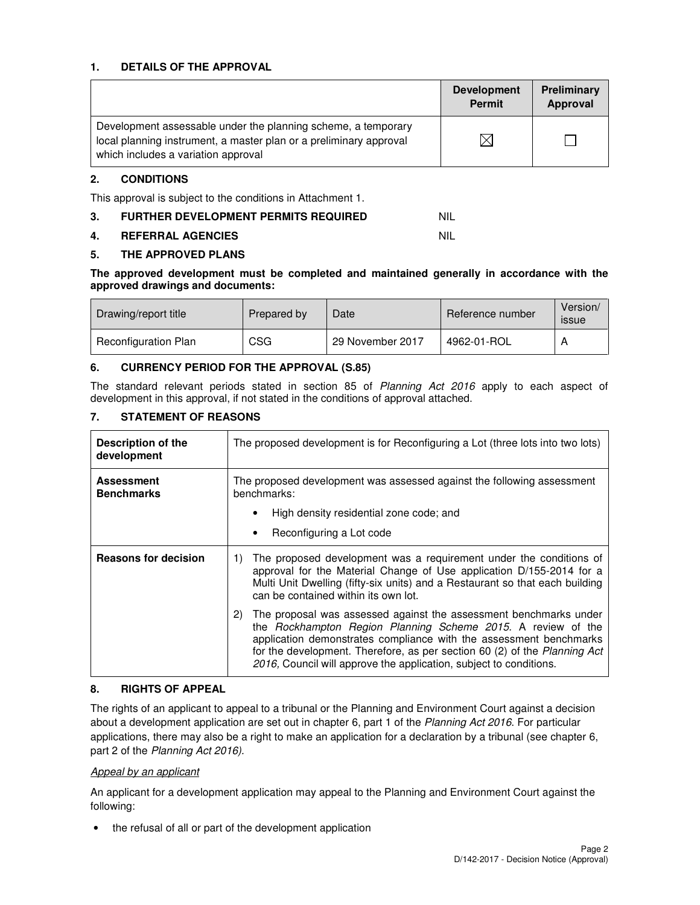#### **1. DETAILS OF THE APPROVAL**

|                                                                                                                                                                            | <b>Development</b><br><b>Permit</b> | Preliminary<br>Approval |
|----------------------------------------------------------------------------------------------------------------------------------------------------------------------------|-------------------------------------|-------------------------|
| Development assessable under the planning scheme, a temporary<br>local planning instrument, a master plan or a preliminary approval<br>which includes a variation approval |                                     |                         |

## **2. CONDITIONS**

This approval is subject to the conditions in Attachment 1.

**3. FURTHER DEVELOPMENT PERMITS REQUIRED NIL** 

#### **4. REFERRAL AGENCIES** NIL

## **5. THE APPROVED PLANS**

#### **The approved development must be completed and maintained generally in accordance with the approved drawings and documents:**

| Drawing/report title        | Prepared by | Date             | Reference number | Version/<br><i>issue</i> |
|-----------------------------|-------------|------------------|------------------|--------------------------|
| <b>Reconfiguration Plan</b> | CSG         | 29 November 2017 | 4962-01-ROL      |                          |

## **6. CURRENCY PERIOD FOR THE APPROVAL (S.85)**

The standard relevant periods stated in section 85 of Planning Act 2016 apply to each aspect of development in this approval, if not stated in the conditions of approval attached.

## **7. STATEMENT OF REASONS**

| <b>Description of the</b><br>development | The proposed development is for Reconfiguring a Lot (three lots into two lots)                                                                                                                                                                                                                                                                                   |  |  |  |
|------------------------------------------|------------------------------------------------------------------------------------------------------------------------------------------------------------------------------------------------------------------------------------------------------------------------------------------------------------------------------------------------------------------|--|--|--|
| <b>Assessment</b><br><b>Benchmarks</b>   | The proposed development was assessed against the following assessment<br>benchmarks:                                                                                                                                                                                                                                                                            |  |  |  |
|                                          | High density residential zone code; and                                                                                                                                                                                                                                                                                                                          |  |  |  |
|                                          | Reconfiguring a Lot code                                                                                                                                                                                                                                                                                                                                         |  |  |  |
| <b>Reasons for decision</b>              | The proposed development was a requirement under the conditions of<br>1)<br>approval for the Material Change of Use application D/155-2014 for a<br>Multi Unit Dwelling (fifty-six units) and a Restaurant so that each building<br>can be contained within its own lot.                                                                                         |  |  |  |
|                                          | The proposal was assessed against the assessment benchmarks under<br>2)<br>the Rockhampton Region Planning Scheme 2015. A review of the<br>application demonstrates compliance with the assessment benchmarks<br>for the development. Therefore, as per section 60 (2) of the Planning Act<br>2016, Council will approve the application, subject to conditions. |  |  |  |

#### **8. RIGHTS OF APPEAL**

The rights of an applicant to appeal to a tribunal or the Planning and Environment Court against a decision about a development application are set out in chapter 6, part 1 of the Planning Act 2016. For particular applications, there may also be a right to make an application for a declaration by a tribunal (see chapter 6, part 2 of the Planning Act 2016).

#### Appeal by an applicant

An applicant for a development application may appeal to the Planning and Environment Court against the following:

• the refusal of all or part of the development application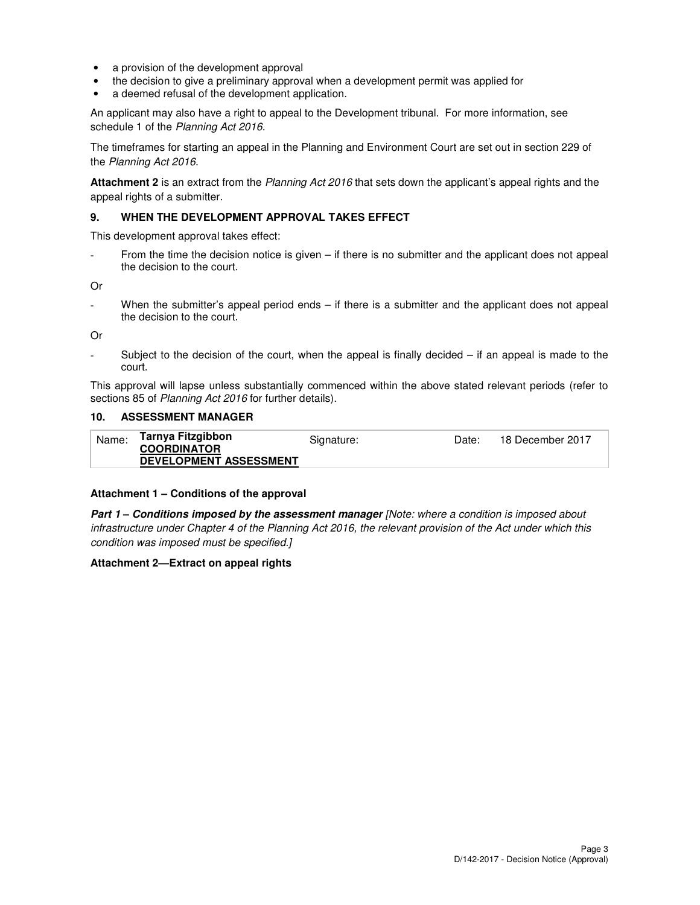- a provision of the development approval
- the decision to give a preliminary approval when a development permit was applied for
- a deemed refusal of the development application.

An applicant may also have a right to appeal to the Development tribunal. For more information, see schedule 1 of the Planning Act 2016.

The timeframes for starting an appeal in the Planning and Environment Court are set out in section 229 of the Planning Act 2016.

**Attachment 2** is an extract from the Planning Act 2016 that sets down the applicant's appeal rights and the appeal rights of a submitter.

#### **9. WHEN THE DEVELOPMENT APPROVAL TAKES EFFECT**

This development approval takes effect:

From the time the decision notice is given – if there is no submitter and the applicant does not appeal the decision to the court.

Or

When the submitter's appeal period ends  $-$  if there is a submitter and the applicant does not appeal the decision to the court.

Or

Subject to the decision of the court, when the appeal is finally decided  $-$  if an appeal is made to the court.

This approval will lapse unless substantially commenced within the above stated relevant periods (refer to sections 85 of Planning Act 2016 for further details).

#### **10. ASSESSMENT MANAGER**

| Name: | Tarnya Fitzgibbon<br><b>COORDINATOR</b><br><b>DEVELOPMENT ASSESSMENT</b> | Signature: | Date: | 18 December 2017 |
|-------|--------------------------------------------------------------------------|------------|-------|------------------|
|       |                                                                          |            |       |                  |

#### **Attachment 1 – Conditions of the approval**

**Part 1 – Conditions imposed by the assessment manager** [Note: where a condition is imposed about infrastructure under Chapter 4 of the Planning Act 2016, the relevant provision of the Act under which this condition was imposed must be specified.]

#### **Attachment 2—Extract on appeal rights**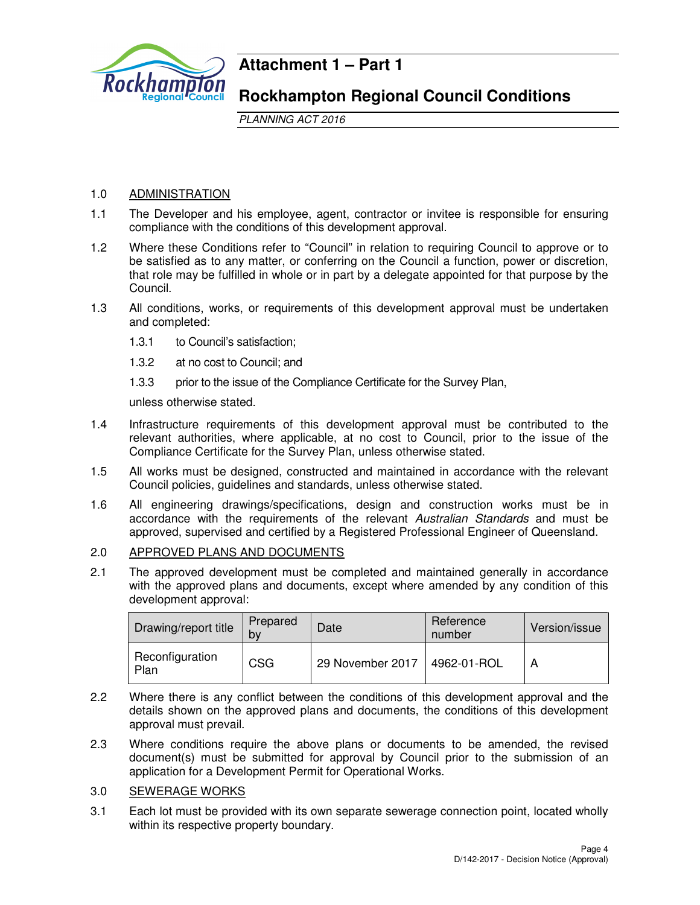

## **Attachment 1 – Part 1**

## **Rockhampton Regional Council Conditions**

PLANNING ACT 2016

## 1.0 ADMINISTRATION

- 1.1 The Developer and his employee, agent, contractor or invitee is responsible for ensuring compliance with the conditions of this development approval.
- 1.2 Where these Conditions refer to "Council" in relation to requiring Council to approve or to be satisfied as to any matter, or conferring on the Council a function, power or discretion, that role may be fulfilled in whole or in part by a delegate appointed for that purpose by the Council.
- 1.3 All conditions, works, or requirements of this development approval must be undertaken and completed:
	- 1.3.1 to Council's satisfaction;
	- 1.3.2 at no cost to Council; and
	- 1.3.3 prior to the issue of the Compliance Certificate for the Survey Plan,

unless otherwise stated.

- 1.4 Infrastructure requirements of this development approval must be contributed to the relevant authorities, where applicable, at no cost to Council, prior to the issue of the Compliance Certificate for the Survey Plan, unless otherwise stated.
- 1.5 All works must be designed, constructed and maintained in accordance with the relevant Council policies, guidelines and standards, unless otherwise stated.
- 1.6 All engineering drawings/specifications, design and construction works must be in accordance with the requirements of the relevant Australian Standards and must be approved, supervised and certified by a Registered Professional Engineer of Queensland.

## 2.0 APPROVED PLANS AND DOCUMENTS

2.1 The approved development must be completed and maintained generally in accordance with the approved plans and documents, except where amended by any condition of this development approval:

| Drawing/report title    | Prepared<br>bv | Date             | Reference<br>number | Version/issue |
|-------------------------|----------------|------------------|---------------------|---------------|
| Reconfiguration<br>Plan | <b>CSG</b>     | 29 November 2017 | 4962-01-ROL         |               |

- 2.2 Where there is any conflict between the conditions of this development approval and the details shown on the approved plans and documents, the conditions of this development approval must prevail.
- 2.3 Where conditions require the above plans or documents to be amended, the revised document(s) must be submitted for approval by Council prior to the submission of an application for a Development Permit for Operational Works.

## 3.0 SEWERAGE WORKS

3.1 Each lot must be provided with its own separate sewerage connection point, located wholly within its respective property boundary.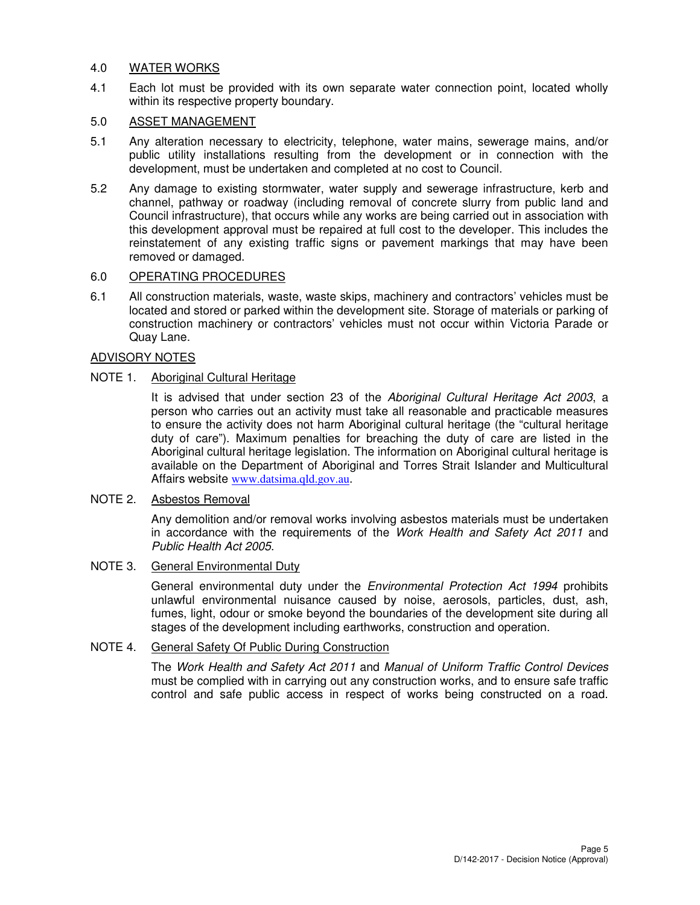#### 4.0 WATER WORKS

4.1 Each lot must be provided with its own separate water connection point, located wholly within its respective property boundary.

## 5.0 ASSET MANAGEMENT

- 5.1 Any alteration necessary to electricity, telephone, water mains, sewerage mains, and/or public utility installations resulting from the development or in connection with the development, must be undertaken and completed at no cost to Council.
- 5.2 Any damage to existing stormwater, water supply and sewerage infrastructure, kerb and channel, pathway or roadway (including removal of concrete slurry from public land and Council infrastructure), that occurs while any works are being carried out in association with this development approval must be repaired at full cost to the developer. This includes the reinstatement of any existing traffic signs or pavement markings that may have been removed or damaged.

## 6.0 OPERATING PROCEDURES

6.1 All construction materials, waste, waste skips, machinery and contractors' vehicles must be located and stored or parked within the development site. Storage of materials or parking of construction machinery or contractors' vehicles must not occur within Victoria Parade or Quay Lane.

## ADVISORY NOTES

## NOTE 1. Aboriginal Cultural Heritage

It is advised that under section 23 of the Aboriginal Cultural Heritage Act 2003, a person who carries out an activity must take all reasonable and practicable measures to ensure the activity does not harm Aboriginal cultural heritage (the "cultural heritage duty of care"). Maximum penalties for breaching the duty of care are listed in the Aboriginal cultural heritage legislation. The information on Aboriginal cultural heritage is available on the Department of Aboriginal and Torres Strait Islander and Multicultural Affairs website www.datsima.qld.gov.au.

#### NOTE 2. Asbestos Removal

Any demolition and/or removal works involving asbestos materials must be undertaken in accordance with the requirements of the Work Health and Safety Act 2011 and Public Health Act 2005.

## NOTE 3. General Environmental Duty

General environmental duty under the *Environmental Protection Act 1994* prohibits unlawful environmental nuisance caused by noise, aerosols, particles, dust, ash, fumes, light, odour or smoke beyond the boundaries of the development site during all stages of the development including earthworks, construction and operation.

## NOTE 4. General Safety Of Public During Construction

The Work Health and Safety Act 2011 and Manual of Uniform Traffic Control Devices must be complied with in carrying out any construction works, and to ensure safe traffic control and safe public access in respect of works being constructed on a road.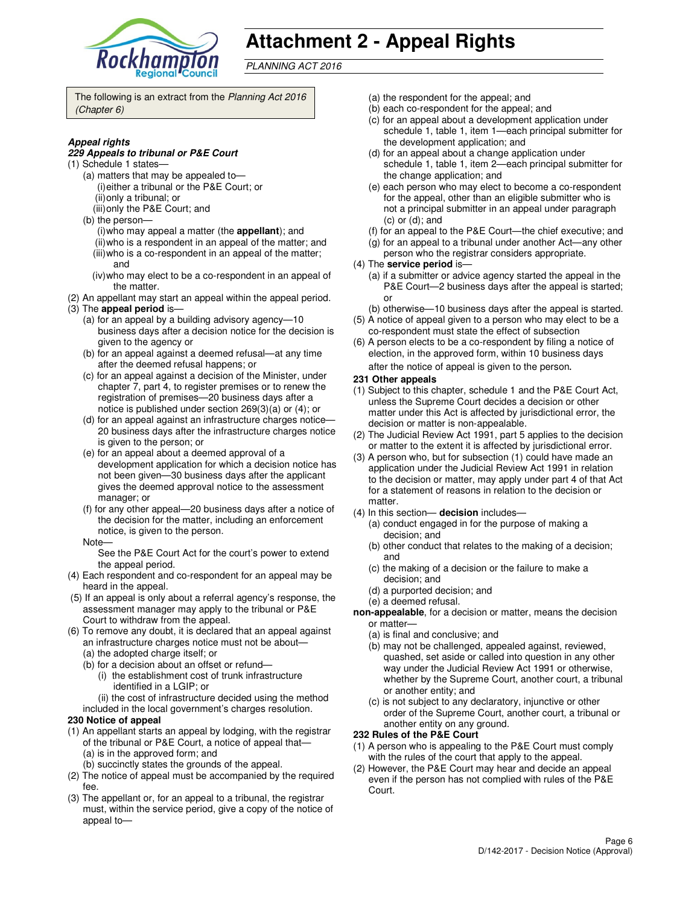

# **Attachment 2 - Appeal Rights**

PLANNING ACT 2016

The following is an extract from the Planning Act 2016 (Chapter 6)

#### **Appeal rights**

#### **229 Appeals to tribunal or P&E Court**

- (1) Schedule 1 states—
	- (a) matters that may be appealed to— (i) either a tribunal or the P&E Court; or (ii) only a tribunal; or
	- (iii) only the P&E Court; and
	- (b) the person—
		- (i) who may appeal a matter (the **appellant**); and (ii) who is a respondent in an appeal of the matter; and (iii) who is a co-respondent in an appeal of the matter;
		- and (iv) who may elect to be a co-respondent in an appeal of
- the matter. (2) An appellant may start an appeal within the appeal period.
- (3) The **appeal period** is—
	- (a) for an appeal by a building advisory agency—10 business days after a decision notice for the decision is given to the agency or
	- (b) for an appeal against a deemed refusal—at any time after the deemed refusal happens; or
	- (c) for an appeal against a decision of the Minister, under chapter 7, part 4, to register premises or to renew the registration of premises—20 business days after a notice is published under section 269(3)(a) or (4); or
	- (d) for an appeal against an infrastructure charges notice— 20 business days after the infrastructure charges notice is given to the person; or
	- (e) for an appeal about a deemed approval of a development application for which a decision notice has not been given—30 business days after the applicant gives the deemed approval notice to the assessment manager; or
	- (f) for any other appeal—20 business days after a notice of the decision for the matter, including an enforcement notice, is given to the person.
	- Note—

See the P&E Court Act for the court's power to extend the appeal period.

- (4) Each respondent and co-respondent for an appeal may be heard in the appeal.
- (5) If an appeal is only about a referral agency's response, the assessment manager may apply to the tribunal or P&E Court to withdraw from the appeal.
- (6) To remove any doubt, it is declared that an appeal against an infrastructure charges notice must not be about—
	- (a) the adopted charge itself; or
	- (b) for a decision about an offset or refund—
		- (i) the establishment cost of trunk infrastructure identified in a LGIP; or
		- (ii) the cost of infrastructure decided using the method
	- included in the local government's charges resolution.

#### **230 Notice of appeal**

- (1) An appellant starts an appeal by lodging, with the registrar of the tribunal or P&E Court, a notice of appeal that— (a) is in the approved form; and
	- (b) succinctly states the grounds of the appeal.
- (2) The notice of appeal must be accompanied by the required fee.
- (3) The appellant or, for an appeal to a tribunal, the registrar must, within the service period, give a copy of the notice of appeal to—
- (a) the respondent for the appeal; and
- (b) each co-respondent for the appeal; and
- (c) for an appeal about a development application under schedule 1, table 1, item 1—each principal submitter for the development application; and
- (d) for an appeal about a change application under schedule 1, table 1, item 2—each principal submitter for the change application; and
- (e) each person who may elect to become a co-respondent for the appeal, other than an eligible submitter who is not a principal submitter in an appeal under paragraph (c) or (d); and
- (f) for an appeal to the P&E Court—the chief executive; and
- (g) for an appeal to a tribunal under another Act—any other
- person who the registrar considers appropriate.
- (4) The **service period** is—
	- (a) if a submitter or advice agency started the appeal in the P&E Court—2 business days after the appeal is started; or
- (b) otherwise—10 business days after the appeal is started. (5) A notice of appeal given to a person who may elect to be a
- co-respondent must state the effect of subsection (6) A person elects to be a co-respondent by filing a notice of
- election, in the approved form, within 10 business days after the notice of appeal is given to the person*.*
- **231 Other appeals**
- (1) Subject to this chapter, schedule 1 and the P&E Court Act, unless the Supreme Court decides a decision or other matter under this Act is affected by jurisdictional error, the decision or matter is non-appealable.
- (2) The Judicial Review Act 1991, part 5 applies to the decision or matter to the extent it is affected by jurisdictional error.
- (3) A person who, but for subsection (1) could have made an application under the Judicial Review Act 1991 in relation to the decision or matter, may apply under part 4 of that Act for a statement of reasons in relation to the decision or matter.
- (4) In this section— **decision** includes—
	- (a) conduct engaged in for the purpose of making a decision; and
	- (b) other conduct that relates to the making of a decision; and
	- (c) the making of a decision or the failure to make a decision; and
	- (d) a purported decision; and
	- (e) a deemed refusal.
- **non-appealable**, for a decision or matter, means the decision or matter—
	- (a) is final and conclusive; and
	- (b) may not be challenged, appealed against, reviewed, quashed, set aside or called into question in any other way under the Judicial Review Act 1991 or otherwise, whether by the Supreme Court, another court, a tribunal or another entity; and
	- (c) is not subject to any declaratory, injunctive or other order of the Supreme Court, another court, a tribunal or another entity on any ground.

#### **232 Rules of the P&E Court**

- (1) A person who is appealing to the P&E Court must comply with the rules of the court that apply to the appeal.
- (2) However, the P&E Court may hear and decide an appeal even if the person has not complied with rules of the P&E Court.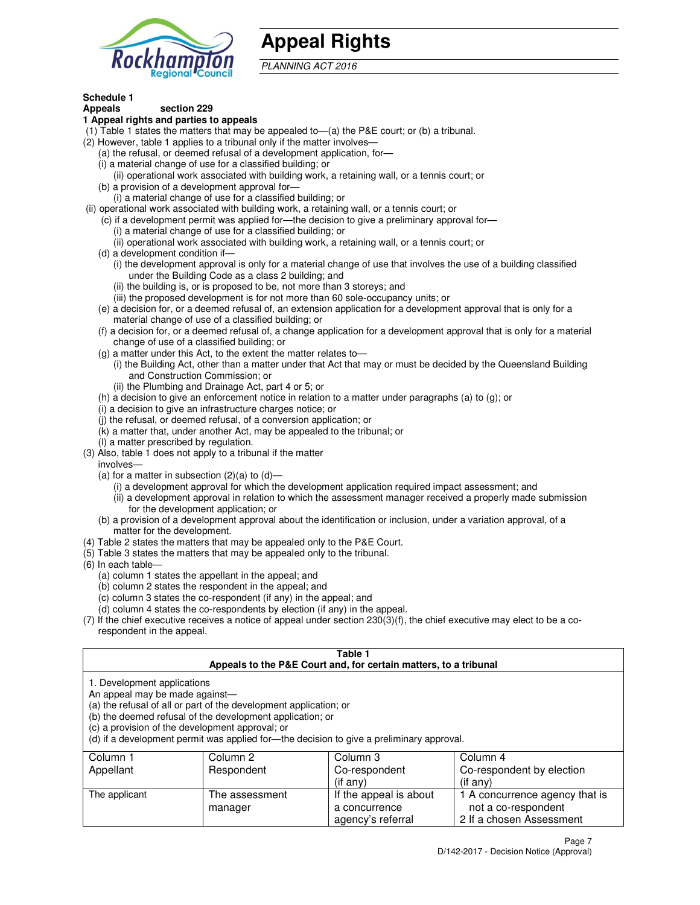

# **Appeal Rights**

PLANNING ACT 2016

#### **Schedule 1 Appeals section 229**

## **1 Appeal rights and parties to appeals**

- (1) Table 1 states the matters that may be appealed to—(a) the P&E court; or (b) a tribunal.
- (2) However, table 1 applies to a tribunal only if the matter involves—
	- (a) the refusal, or deemed refusal of a development application, for—
	- (i) a material change of use for a classified building; or
	- (ii) operational work associated with building work, a retaining wall, or a tennis court; or (b) a provision of a development approval for—
	- (i) a material change of use for a classified building; or
- (ii) operational work associated with building work, a retaining wall, or a tennis court; or
	- (c) if a development permit was applied for—the decision to give a preliminary approval for—
		- (i) a material change of use for a classified building; or
		- (ii) operational work associated with building work, a retaining wall, or a tennis court; or
	- (d) a development condition if—
		- (i) the development approval is only for a material change of use that involves the use of a building classified under the Building Code as a class 2 building; and
		- (ii) the building is, or is proposed to be, not more than 3 storeys; and
		- (iii) the proposed development is for not more than 60 sole-occupancy units; or
	- (e) a decision for, or a deemed refusal of, an extension application for a development approval that is only for a material change of use of a classified building; or
	- (f) a decision for, or a deemed refusal of, a change application for a development approval that is only for a material change of use of a classified building; or
	- (g) a matter under this Act, to the extent the matter relates to—
		- (i) the Building Act, other than a matter under that Act that may or must be decided by the Queensland Building and Construction Commission; or
		- (ii) the Plumbing and Drainage Act, part 4 or 5; or
	- (h) a decision to give an enforcement notice in relation to a matter under paragraphs (a) to (g); or
	- (i) a decision to give an infrastructure charges notice; or
	- (j) the refusal, or deemed refusal, of a conversion application; or
	- (k) a matter that, under another Act, may be appealed to the tribunal; or
	- (l) a matter prescribed by regulation.
- (3) Also, table 1 does not apply to a tribunal if the matter
- involves—
	- (a) for a matter in subsection  $(2)(a)$  to  $(d)$ 
		- (i) a development approval for which the development application required impact assessment; and
		- (ii) a development approval in relation to which the assessment manager received a properly made submission for the development application; or
	- (b) a provision of a development approval about the identification or inclusion, under a variation approval, of a matter for the development.
- (4) Table 2 states the matters that may be appealed only to the P&E Court.
- (5) Table 3 states the matters that may be appealed only to the tribunal.
- (6) In each table—
	- (a) column 1 states the appellant in the appeal; and
	- (b) column 2 states the respondent in the appeal; and
	- (c) column 3 states the co-respondent (if any) in the appeal; and
	- (d) column 4 states the co-respondents by election (if any) in the appeal.
- (7) If the chief executive receives a notice of appeal under section 230(3)(f), the chief executive may elect to be a corespondent in the appeal.

## **Table 1**

| Appeals to the P&E Court and, for certain matters, to a tribunal |                                                                                                                                                                                   |                                                                                          |                                |  |  |
|------------------------------------------------------------------|-----------------------------------------------------------------------------------------------------------------------------------------------------------------------------------|------------------------------------------------------------------------------------------|--------------------------------|--|--|
| 1. Development applications<br>An appeal may be made against—    | (a) the refusal of all or part of the development application; or<br>(b) the deemed refusal of the development application; or<br>(c) a provision of the development approval; or | (d) if a development permit was applied for—the decision to give a preliminary approval. |                                |  |  |
| Column 1                                                         | Column 2                                                                                                                                                                          | Column 3                                                                                 | Column 4                       |  |  |
| Appellant                                                        | Respondent                                                                                                                                                                        | Co-respondent                                                                            | Co-respondent by election      |  |  |
|                                                                  |                                                                                                                                                                                   | (if any)                                                                                 | (if any)                       |  |  |
| The applicant                                                    | The assessment                                                                                                                                                                    | If the appeal is about                                                                   | 1 A concurrence agency that is |  |  |
|                                                                  | manager                                                                                                                                                                           | a concurrence                                                                            | not a co-respondent            |  |  |

agency's referral

2 If a chosen Assessment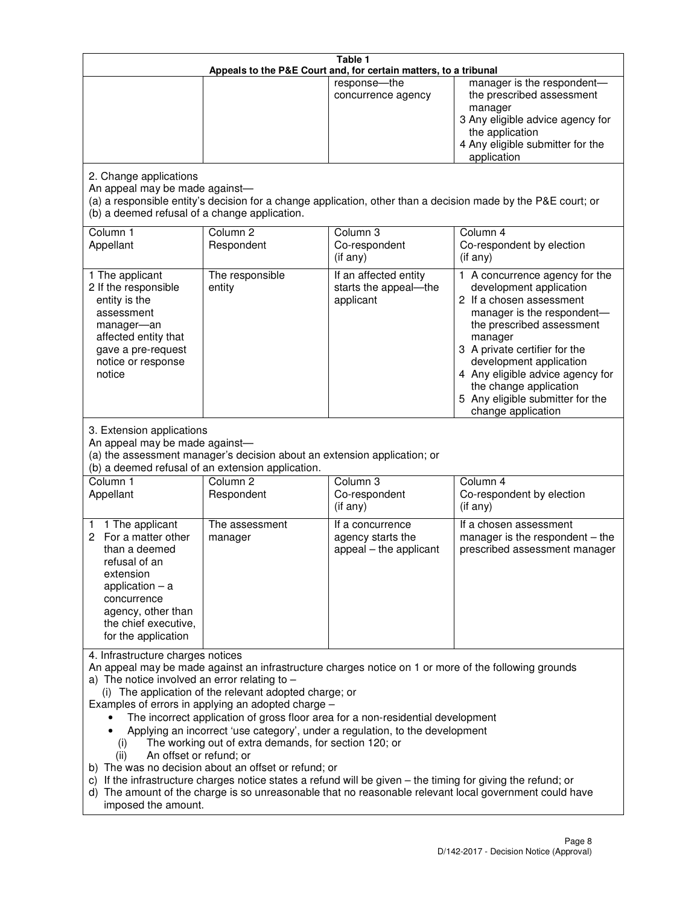| Table 1<br>Appeals to the P&E Court and, for certain matters, to a tribunal                                                                                                                                                                                                                                                                                                                                                                                                                                                                                                                                                                                                                                                                                                                                                                                                                 |                                                                                                                                                                    |                                                                             |                                                                                                                                                                                                                                                                                                                                                 |  |
|---------------------------------------------------------------------------------------------------------------------------------------------------------------------------------------------------------------------------------------------------------------------------------------------------------------------------------------------------------------------------------------------------------------------------------------------------------------------------------------------------------------------------------------------------------------------------------------------------------------------------------------------------------------------------------------------------------------------------------------------------------------------------------------------------------------------------------------------------------------------------------------------|--------------------------------------------------------------------------------------------------------------------------------------------------------------------|-----------------------------------------------------------------------------|-------------------------------------------------------------------------------------------------------------------------------------------------------------------------------------------------------------------------------------------------------------------------------------------------------------------------------------------------|--|
|                                                                                                                                                                                                                                                                                                                                                                                                                                                                                                                                                                                                                                                                                                                                                                                                                                                                                             |                                                                                                                                                                    | response-the<br>concurrence agency                                          | manager is the respondent-<br>the prescribed assessment<br>manager<br>3 Any eligible advice agency for<br>the application<br>4 Any eligible submitter for the<br>application                                                                                                                                                                    |  |
| 2. Change applications<br>An appeal may be made against-<br>(b) a deemed refusal of a change application.                                                                                                                                                                                                                                                                                                                                                                                                                                                                                                                                                                                                                                                                                                                                                                                   |                                                                                                                                                                    |                                                                             | (a) a responsible entity's decision for a change application, other than a decision made by the P&E court; or                                                                                                                                                                                                                                   |  |
| Column 1<br>Appellant                                                                                                                                                                                                                                                                                                                                                                                                                                                                                                                                                                                                                                                                                                                                                                                                                                                                       | Column <sub>2</sub><br>Respondent                                                                                                                                  | Column <sub>3</sub><br>Co-respondent<br>(if any)                            | Column 4<br>Co-respondent by election<br>(if any)                                                                                                                                                                                                                                                                                               |  |
| 1 The applicant<br>2 If the responsible<br>entity is the<br>assessment<br>manager-an<br>affected entity that<br>gave a pre-request<br>notice or response<br>notice                                                                                                                                                                                                                                                                                                                                                                                                                                                                                                                                                                                                                                                                                                                          | The responsible<br>entity                                                                                                                                          | If an affected entity<br>starts the appeal-the<br>applicant                 | 1 A concurrence agency for the<br>development application<br>2 If a chosen assessment<br>manager is the respondent-<br>the prescribed assessment<br>manager<br>3 A private certifier for the<br>development application<br>4 Any eligible advice agency for<br>the change application<br>5 Any eligible submitter for the<br>change application |  |
| 3. Extension applications<br>An appeal may be made against-<br>Column 1<br>Appellant                                                                                                                                                                                                                                                                                                                                                                                                                                                                                                                                                                                                                                                                                                                                                                                                        | (a) the assessment manager's decision about an extension application; or<br>(b) a deemed refusal of an extension application.<br>Column <sub>2</sub><br>Respondent | Column 3<br>Co-respondent                                                   | Column 4<br>Co-respondent by election                                                                                                                                                                                                                                                                                                           |  |
| 1 The applicant<br>1<br>2 For a matter other<br>than a deemed<br>refusal of an<br>extension<br>application $-$ a<br>concurrence<br>agency, other than<br>the chief executive,<br>for the application                                                                                                                                                                                                                                                                                                                                                                                                                                                                                                                                                                                                                                                                                        | The assessment<br>manager                                                                                                                                          | (if any)<br>If a concurrence<br>agency starts the<br>appeal - the applicant | (if any)<br>If a chosen assessment<br>manager is the respondent - the<br>prescribed assessment manager                                                                                                                                                                                                                                          |  |
| 4. Infrastructure charges notices<br>An appeal may be made against an infrastructure charges notice on 1 or more of the following grounds<br>a) The notice involved an error relating to $-$<br>(i) The application of the relevant adopted charge; or<br>Examples of errors in applying an adopted charge -<br>The incorrect application of gross floor area for a non-residential development<br>Applying an incorrect 'use category', under a regulation, to the development<br>The working out of extra demands, for section 120; or<br>(i)<br>An offset or refund; or<br>(ii)<br>b) The was no decision about an offset or refund; or<br>c) If the infrastructure charges notice states a refund will be given - the timing for giving the refund; or<br>d) The amount of the charge is so unreasonable that no reasonable relevant local government could have<br>imposed the amount. |                                                                                                                                                                    |                                                                             |                                                                                                                                                                                                                                                                                                                                                 |  |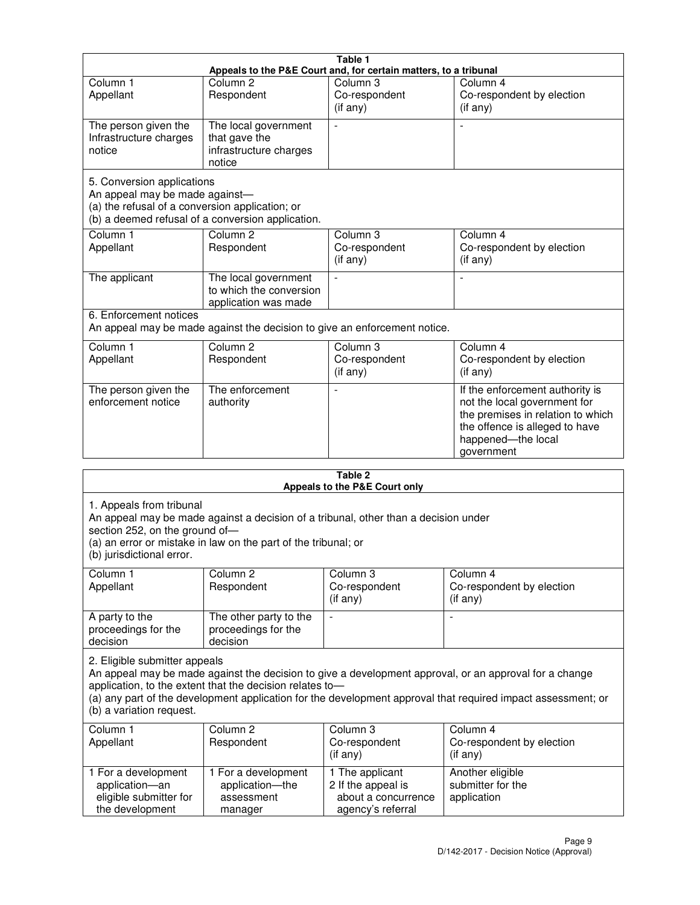|                                                                                                                 | Table 1                                                                   |                                                  |                                                                                                                                                                            |  |
|-----------------------------------------------------------------------------------------------------------------|---------------------------------------------------------------------------|--------------------------------------------------|----------------------------------------------------------------------------------------------------------------------------------------------------------------------------|--|
| Appeals to the P&E Court and, for certain matters, to a tribunal                                                |                                                                           |                                                  |                                                                                                                                                                            |  |
| Column <sub>1</sub><br>Appellant                                                                                | Column <sub>2</sub><br>Respondent                                         | Column 3<br>Co-respondent<br>(if any)            | Column 4<br>Co-respondent by election<br>(if any)                                                                                                                          |  |
| The person given the<br>Infrastructure charges<br>notice                                                        | The local government<br>that gave the<br>infrastructure charges<br>notice |                                                  |                                                                                                                                                                            |  |
| 5. Conversion applications<br>An appeal may be made against-<br>(a) the refusal of a conversion application; or | (b) a deemed refusal of a conversion application.                         |                                                  |                                                                                                                                                                            |  |
| Column <sub>1</sub><br>Appellant                                                                                | Column <sub>2</sub><br>Respondent                                         | Column <sub>3</sub><br>Co-respondent<br>(if any) | Column 4<br>Co-respondent by election<br>(if any)                                                                                                                          |  |
| The applicant                                                                                                   | The local government<br>to which the conversion<br>application was made   |                                                  |                                                                                                                                                                            |  |
| 6. Enforcement notices                                                                                          | An appeal may be made against the decision to give an enforcement notice. |                                                  |                                                                                                                                                                            |  |
| Column <sub>1</sub><br>Appellant                                                                                | Column <sub>2</sub><br>Respondent                                         | Column <sub>3</sub><br>Co-respondent<br>(if any) | Column 4<br>Co-respondent by election<br>(if any)                                                                                                                          |  |
| The person given the<br>enforcement notice                                                                      | The enforcement<br>authority                                              |                                                  | If the enforcement authority is<br>not the local government for<br>the premises in relation to which<br>the offence is alleged to have<br>happened-the local<br>government |  |
| 9 Ahla                                                                                                          |                                                                           |                                                  |                                                                                                                                                                            |  |

| Table 2<br>Appeals to the P&E Court only                                                                                                                                                                                                                                                                                                        |                                                                                                                                                       |                                                                                   |                                                              |  |  |  |
|-------------------------------------------------------------------------------------------------------------------------------------------------------------------------------------------------------------------------------------------------------------------------------------------------------------------------------------------------|-------------------------------------------------------------------------------------------------------------------------------------------------------|-----------------------------------------------------------------------------------|--------------------------------------------------------------|--|--|--|
| 1. Appeals from tribunal<br>section 252, on the ground of-<br>(b) jurisdictional error.                                                                                                                                                                                                                                                         | An appeal may be made against a decision of a tribunal, other than a decision under<br>(a) an error or mistake in law on the part of the tribunal; or |                                                                                   |                                                              |  |  |  |
| Column <sub>1</sub><br>Appellant                                                                                                                                                                                                                                                                                                                | Column <sub>2</sub><br>Respondent                                                                                                                     | Column 3<br>Co-respondent<br>(if any)                                             | Column <sub>4</sub><br>Co-respondent by election<br>(if any) |  |  |  |
| A party to the<br>proceedings for the<br>decision                                                                                                                                                                                                                                                                                               | The other party to the<br>proceedings for the<br>decision                                                                                             | ÷,                                                                                |                                                              |  |  |  |
| 2. Eligible submitter appeals<br>An appeal may be made against the decision to give a development approval, or an approval for a change<br>application, to the extent that the decision relates to-<br>(a) any part of the development application for the development approval that required impact assessment; or<br>(b) a variation request. |                                                                                                                                                       |                                                                                   |                                                              |  |  |  |
| Column 1<br>Appellant                                                                                                                                                                                                                                                                                                                           | Column <sub>2</sub><br>Respondent                                                                                                                     | Column <sub>3</sub><br>Co-respondent<br>(i f any)                                 | Column 4<br>Co-respondent by election<br>(i f any)           |  |  |  |
| 1 For a development<br>application-an<br>eligible submitter for<br>the development                                                                                                                                                                                                                                                              | 1 For a development<br>application-the<br>assessment<br>manager                                                                                       | 1 The applicant<br>2 If the appeal is<br>about a concurrence<br>agency's referral | Another eligible<br>submitter for the<br>application         |  |  |  |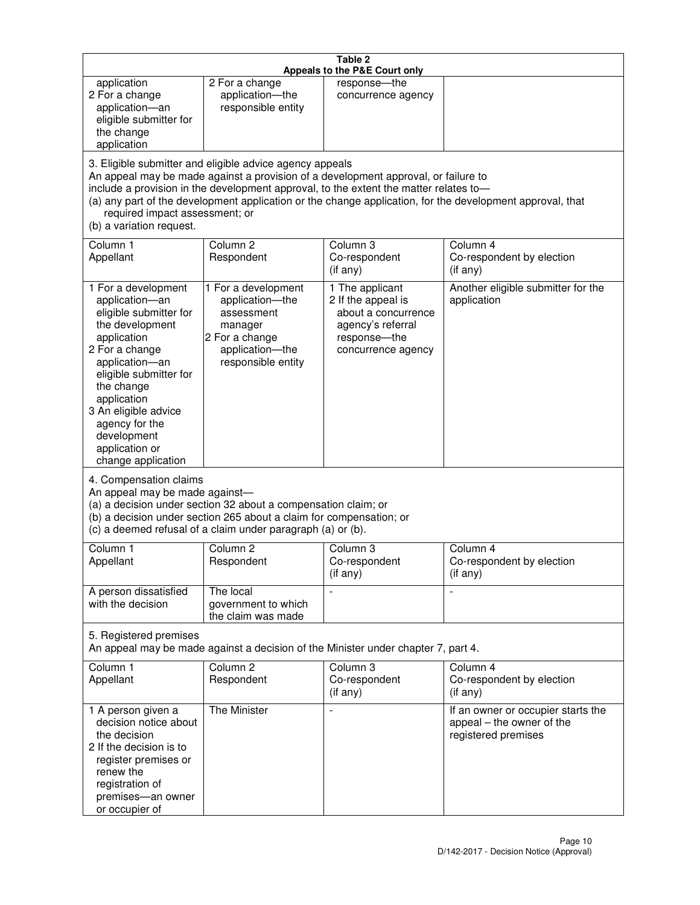|                                                                                                                                                                                                                                                                                               |                                                                                                                                                                                                                                         | Table 2<br>Appeals to the P&E Court only                                                                                |                                                                                                           |
|-----------------------------------------------------------------------------------------------------------------------------------------------------------------------------------------------------------------------------------------------------------------------------------------------|-----------------------------------------------------------------------------------------------------------------------------------------------------------------------------------------------------------------------------------------|-------------------------------------------------------------------------------------------------------------------------|-----------------------------------------------------------------------------------------------------------|
| application<br>2 For a change<br>application-an<br>eligible submitter for<br>the change<br>application                                                                                                                                                                                        | 2 For a change<br>application-the<br>responsible entity                                                                                                                                                                                 | response-the<br>concurrence agency                                                                                      |                                                                                                           |
| required impact assessment; or<br>(b) a variation request.                                                                                                                                                                                                                                    | 3. Eligible submitter and eligible advice agency appeals<br>An appeal may be made against a provision of a development approval, or failure to<br>include a provision in the development approval, to the extent the matter relates to- |                                                                                                                         | (a) any part of the development application or the change application, for the development approval, that |
| Column 1<br>Appellant                                                                                                                                                                                                                                                                         | Column <sub>2</sub><br>Respondent                                                                                                                                                                                                       | Column <sub>3</sub><br>Co-respondent<br>(if any)                                                                        | Column 4<br>Co-respondent by election<br>(if any)                                                         |
| 1 For a development<br>application-an<br>eligible submitter for<br>the development<br>application<br>2 For a change<br>application-an<br>eligible submitter for<br>the change<br>application<br>3 An eligible advice<br>agency for the<br>development<br>application or<br>change application | 1 For a development<br>application-the<br>assessment<br>manager<br>2 For a change<br>application-the<br>responsible entity                                                                                                              | 1 The applicant<br>2 If the appeal is<br>about a concurrence<br>agency's referral<br>response-the<br>concurrence agency | Another eligible submitter for the<br>application                                                         |
| 4. Compensation claims<br>An appeal may be made against-                                                                                                                                                                                                                                      | (a) a decision under section 32 about a compensation claim; or<br>(b) a decision under section 265 about a claim for compensation; or<br>(c) a deemed refusal of a claim under paragraph (a) or (b).                                    |                                                                                                                         |                                                                                                           |
| Column 1<br>Appellant                                                                                                                                                                                                                                                                         | Column 2<br>Respondent                                                                                                                                                                                                                  | Column 3<br>Co-respondent<br>(if any)                                                                                   | Column 4<br>Co-respondent by election<br>(if any)                                                         |
| A person dissatisfied<br>with the decision                                                                                                                                                                                                                                                    | The local<br>government to which<br>the claim was made                                                                                                                                                                                  |                                                                                                                         | $\blacksquare$                                                                                            |
| 5. Registered premises                                                                                                                                                                                                                                                                        | An appeal may be made against a decision of the Minister under chapter 7, part 4.                                                                                                                                                       |                                                                                                                         |                                                                                                           |
| Column 1<br>Appellant                                                                                                                                                                                                                                                                         | Column <sub>2</sub><br>Respondent                                                                                                                                                                                                       | Column 3<br>Co-respondent<br>(if any)                                                                                   | Column 4<br>Co-respondent by election<br>(if any)                                                         |
| 1 A person given a<br>decision notice about<br>the decision<br>2 If the decision is to<br>register premises or<br>renew the<br>registration of<br>premises-an owner<br>or occupier of                                                                                                         | The Minister                                                                                                                                                                                                                            | $\overline{a}$                                                                                                          | If an owner or occupier starts the<br>appeal - the owner of the<br>registered premises                    |